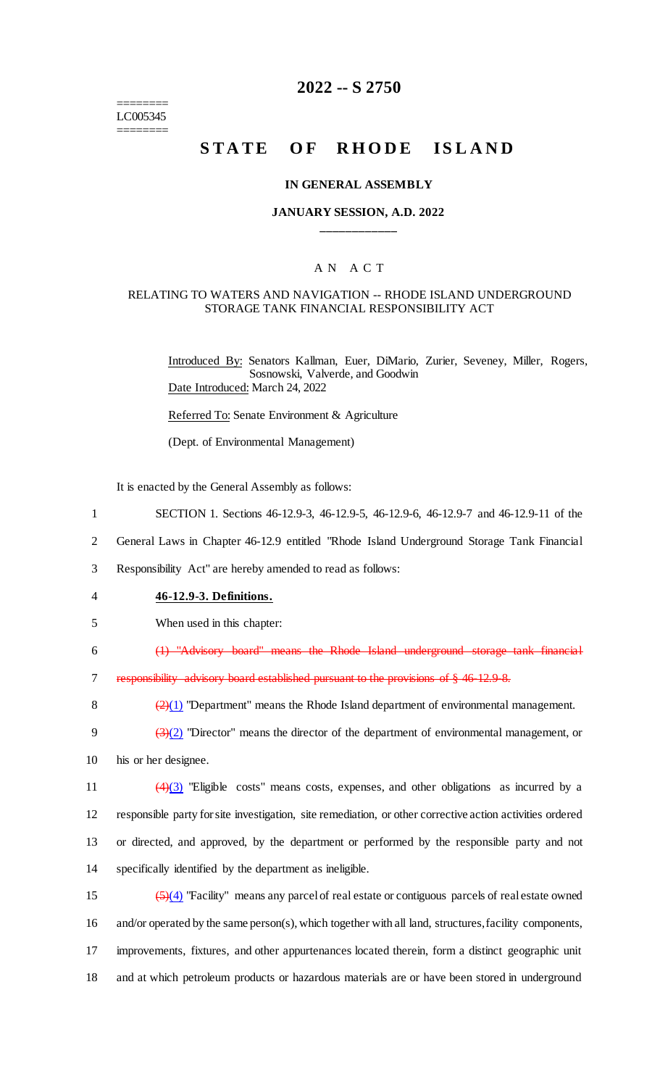======== LC005345 ========

## **2022 -- S 2750**

## **STATE OF RHODE ISLAND**

#### **IN GENERAL ASSEMBLY**

### **JANUARY SESSION, A.D. 2022 \_\_\_\_\_\_\_\_\_\_\_\_**

## A N A C T

#### RELATING TO WATERS AND NAVIGATION -- RHODE ISLAND UNDERGROUND STORAGE TANK FINANCIAL RESPONSIBILITY ACT

Introduced By: Senators Kallman, Euer, DiMario, Zurier, Seveney, Miller, Rogers, Sosnowski, Valverde, and Goodwin Date Introduced: March 24, 2022

Referred To: Senate Environment & Agriculture

(Dept. of Environmental Management)

It is enacted by the General Assembly as follows:

- 1 SECTION 1. Sections 46-12.9-3, 46-12.9-5, 46-12.9-6, 46-12.9-7 and 46-12.9-11 of the
- 2 General Laws in Chapter 46-12.9 entitled "Rhode Island Underground Storage Tank Financial

3 Responsibility Act" are hereby amended to read as follows:

- 4 **46-12.9-3. Definitions.**
- 5 When used in this chapter:

6 (1) "Advisory board" means the Rhode Island underground storage tank financial

7 responsibility advisory board established pursuant to the provisions of § 46-12.9-8.

8  $\left(\frac{2}{1}\right)$  "Department" means the Rhode Island department of environmental management.

9  $\left(\frac{3(2)}{2}\right)$  "Director" means the director of the department of environmental management, or 10 his or her designee.

 $\left(4\right)\left(3\right)$  "Eligible costs" means costs, expenses, and other obligations as incurred by a responsible party for site investigation, site remediation, or other corrective action activities ordered or directed, and approved, by the department or performed by the responsible party and not specifically identified by the department as ineligible.

 $\left(\frac{5}{4}\right)$  "Facility" means any parcel of real estate or contiguous parcels of real estate owned and/or operated by the same person(s), which together with all land, structures, facility components, improvements, fixtures, and other appurtenances located therein, form a distinct geographic unit and at which petroleum products or hazardous materials are or have been stored in underground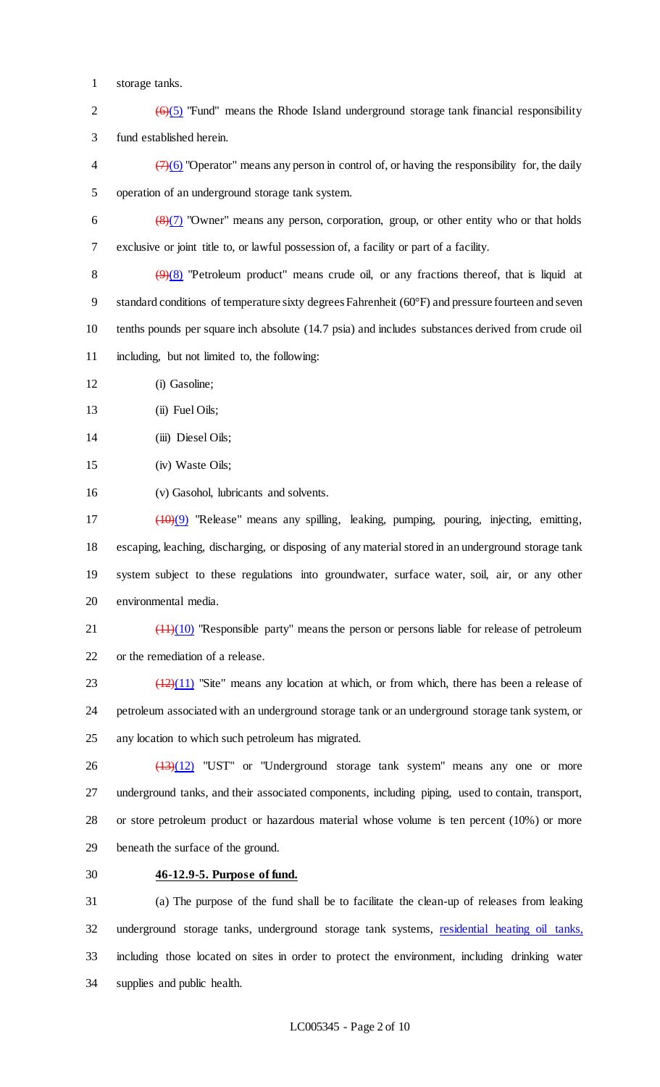- storage tanks.
- 2  $(6)(5)$  "Fund" means the Rhode Island underground storage tank financial responsibility fund established herein.
- $\left(\frac{7}{6}\right)$  "Operator" means any person in control of, or having the responsibility for, the daily operation of an underground storage tank system.
- 6  $\left(\frac{8}{7}\right)$  "Owner" means any person, corporation, group, or other entity who or that holds exclusive or joint title to, or lawful possession of, a facility or part of a facility.
- 8  $(9)(8)$  "Petroleum product" means crude oil, or any fractions thereof, that is liquid at standard conditions of temperature sixty degrees Fahrenheit (60°F) and pressure fourteen and seven tenths pounds per square inch absolute (14.7 psia) and includes substances derived from crude oil including, but not limited to, the following:
- (i) Gasoline;
- 13 (ii) Fuel Oils;
- (iii) Diesel Oils;
- (iv) Waste Oils;
- (v) Gasohol, lubricants and solvents.
- (10)(9) "Release" means any spilling, leaking, pumping, pouring, injecting, emitting, escaping, leaching, discharging, or disposing of any material stored in an underground storage tank system subject to these regulations into groundwater, surface water, soil, air, or any other environmental media.
- 21 (11)(10) "Responsible party" means the person or persons liable for release of petroleum or the remediation of a release.
- $\frac{(12)(11)}{23}$  "Site" means any location at which, or from which, there has been a release of petroleum associated with an underground storage tank or an underground storage tank system, or any location to which such petroleum has migrated.
- $\frac{(13)(12)}{13}$  "UST" or "Underground storage tank system" means any one or more underground tanks, and their associated components, including piping, used to contain, transport, or store petroleum product or hazardous material whose volume is ten percent (10%) or more beneath the surface of the ground.
- 

## **46-12.9-5. Purpose of fund.**

 (a) The purpose of the fund shall be to facilitate the clean-up of releases from leaking underground storage tanks, underground storage tank systems, residential heating oil tanks, including those located on sites in order to protect the environment, including drinking water supplies and public health.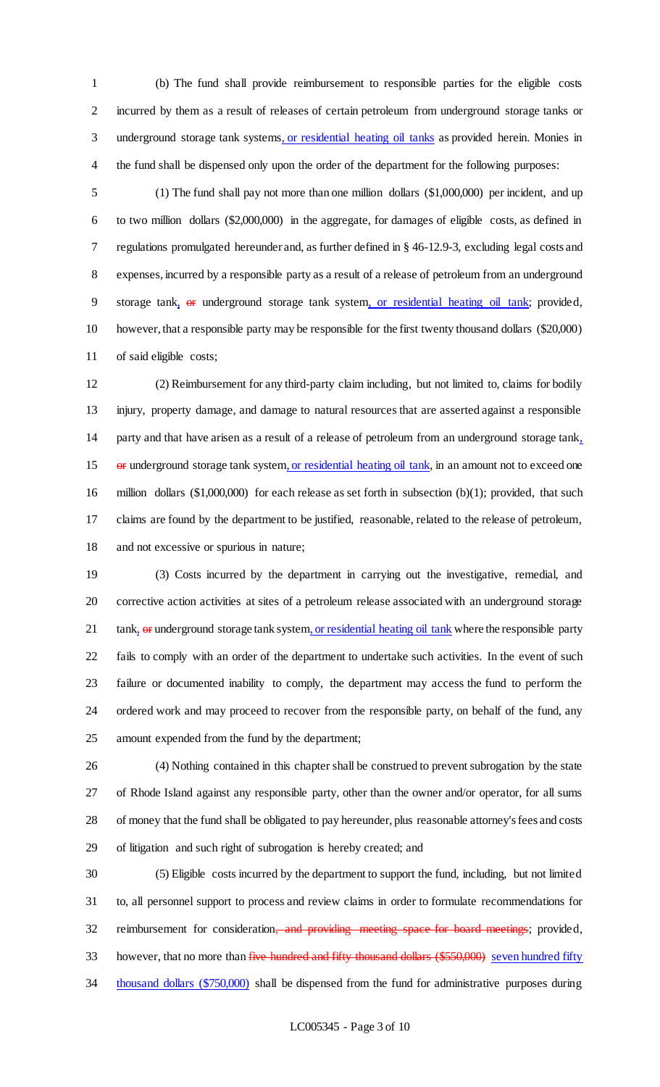(b) The fund shall provide reimbursement to responsible parties for the eligible costs incurred by them as a result of releases of certain petroleum from underground storage tanks or 3 underground storage tank systems, or residential heating oil tanks as provided herein. Monies in the fund shall be dispensed only upon the order of the department for the following purposes:

 (1) The fund shall pay not more than one million dollars (\$1,000,000) per incident, and up to two million dollars (\$2,000,000) in the aggregate, for damages of eligible costs, as defined in regulations promulgated hereunder and, as further defined in § 46-12.9-3, excluding legal costs and expenses, incurred by a responsible party as a result of a release of petroleum from an underground storage tank, or underground storage tank system, or residential heating oil tank; provided, however, that a responsible party may be responsible for the first twenty thousand dollars (\$20,000) of said eligible costs;

 (2) Reimbursement for any third-party claim including, but not limited to, claims for bodily injury, property damage, and damage to natural resources that are asserted against a responsible party and that have arisen as a result of a release of petroleum from an underground storage tank, 15 or underground storage tank system, or residential heating oil tank, in an amount not to exceed one million dollars (\$1,000,000) for each release as set forth in subsection (b)(1); provided, that such claims are found by the department to be justified, reasonable, related to the release of petroleum, and not excessive or spurious in nature;

 (3) Costs incurred by the department in carrying out the investigative, remedial, and corrective action activities at sites of a petroleum release associated with an underground storage 21 tank, or underground storage tank system, or residential heating oil tank where the responsible party fails to comply with an order of the department to undertake such activities. In the event of such failure or documented inability to comply, the department may access the fund to perform the ordered work and may proceed to recover from the responsible party, on behalf of the fund, any amount expended from the fund by the department;

 (4) Nothing contained in this chapter shall be construed to prevent subrogation by the state of Rhode Island against any responsible party, other than the owner and/or operator, for all sums of money that the fund shall be obligated to pay hereunder, plus reasonable attorney's fees and costs of litigation and such right of subrogation is hereby created; and

 (5) Eligible costs incurred by the department to support the fund, including, but not limited to, all personnel support to process and review claims in order to formulate recommendations for 32 reimbursement for consideration, and providing meeting space for board meetings; provided, 33 however, that no more than five hundred and fifty thousand dollars (\$550,000) seven hundred fifty 34 thousand dollars (\$750,000) shall be dispensed from the fund for administrative purposes during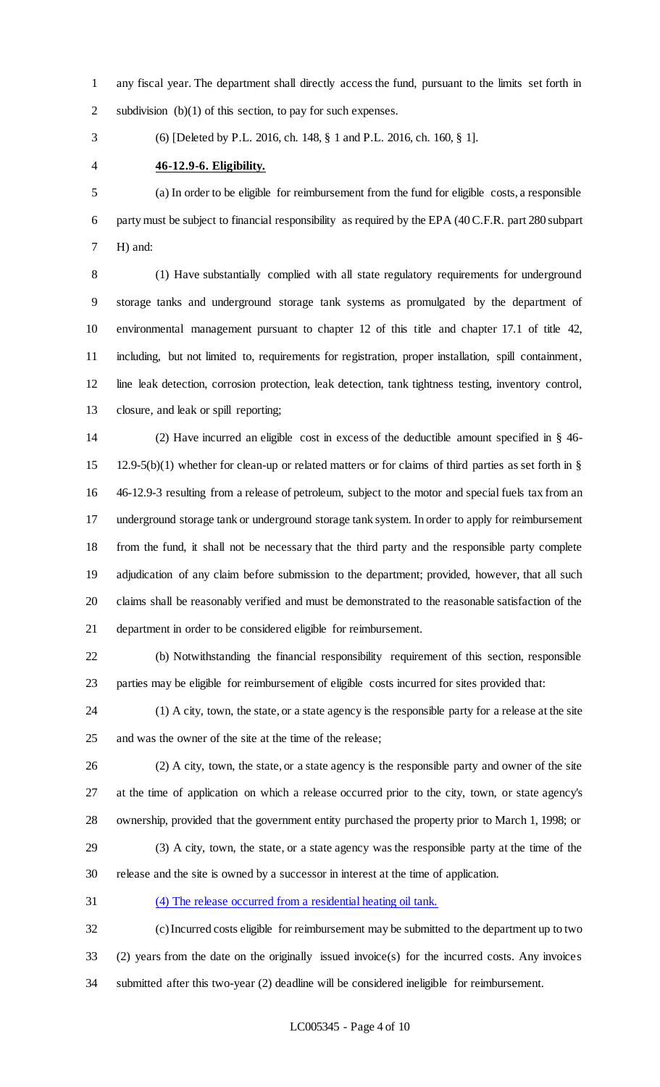any fiscal year. The department shall directly access the fund, pursuant to the limits set forth in subdivision (b)(1) of this section, to pay for such expenses.

(6) [Deleted by P.L. 2016, ch. 148, § 1 and P.L. 2016, ch. 160, § 1].

**46-12.9-6. Eligibility.**

 (a) In order to be eligible for reimbursement from the fund for eligible costs, a responsible party must be subject to financial responsibility as required by the EPA (40 C.F.R. part 280 subpart H) and:

 (1) Have substantially complied with all state regulatory requirements for underground storage tanks and underground storage tank systems as promulgated by the department of environmental management pursuant to chapter 12 of this title and chapter 17.1 of title 42, including, but not limited to, requirements for registration, proper installation, spill containment, line leak detection, corrosion protection, leak detection, tank tightness testing, inventory control, closure, and leak or spill reporting;

 (2) Have incurred an eligible cost in excess of the deductible amount specified in § 46- 12.9-5(b)(1) whether for clean-up or related matters or for claims of third parties as set forth in § 46-12.9-3 resulting from a release of petroleum, subject to the motor and special fuels tax from an underground storage tank or underground storage tank system. In order to apply for reimbursement from the fund, it shall not be necessary that the third party and the responsible party complete adjudication of any claim before submission to the department; provided, however, that all such claims shall be reasonably verified and must be demonstrated to the reasonable satisfaction of the department in order to be considered eligible for reimbursement.

 (b) Notwithstanding the financial responsibility requirement of this section, responsible parties may be eligible for reimbursement of eligible costs incurred for sites provided that:

 (1) A city, town, the state, or a state agency is the responsible party for a release at the site and was the owner of the site at the time of the release;

 (2) A city, town, the state, or a state agency is the responsible party and owner of the site at the time of application on which a release occurred prior to the city, town, or state agency's ownership, provided that the government entity purchased the property prior to March 1, 1998; or (3) A city, town, the state, or a state agency was the responsible party at the time of the

release and the site is owned by a successor in interest at the time of application.

(4) The release occurred from a residential heating oil tank.

 (c) Incurred costs eligible for reimbursement may be submitted to the department up to two (2) years from the date on the originally issued invoice(s) for the incurred costs. Any invoices submitted after this two-year (2) deadline will be considered ineligible for reimbursement.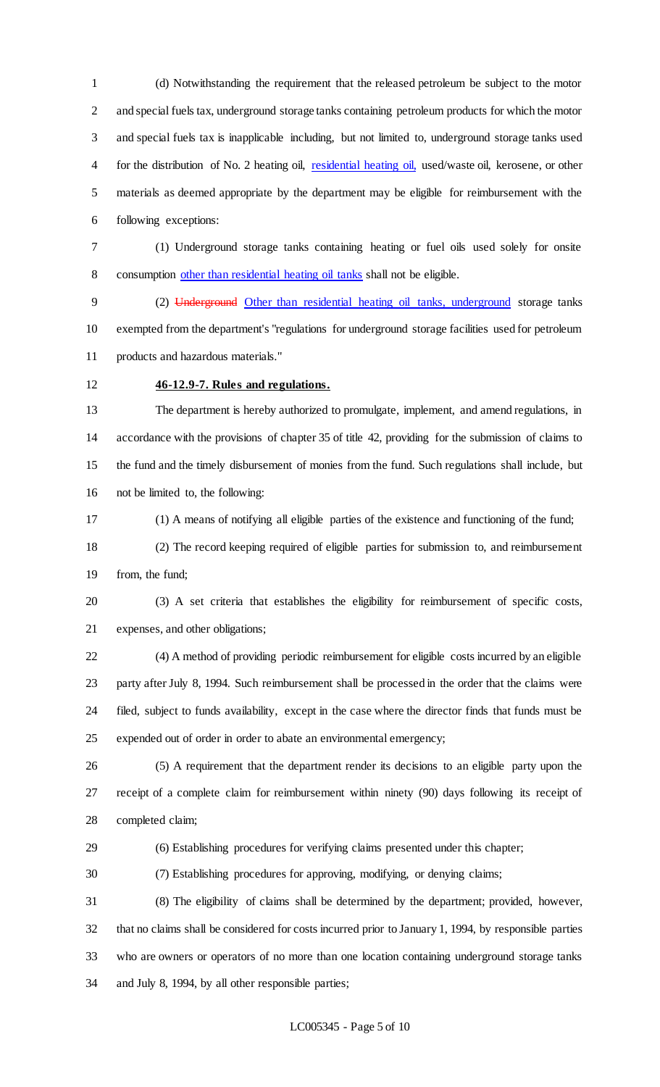(d) Notwithstanding the requirement that the released petroleum be subject to the motor and special fuels tax, underground storage tanks containing petroleum products for which the motor and special fuels tax is inapplicable including, but not limited to, underground storage tanks used for the distribution of No. 2 heating oil, residential heating oil, used/waste oil, kerosene, or other materials as deemed appropriate by the department may be eligible for reimbursement with the following exceptions:

 (1) Underground storage tanks containing heating or fuel oils used solely for onsite consumption other than residential heating oil tanks shall not be eligible.

 (2) Underground Other than residential heating oil tanks, underground storage tanks exempted from the department's "regulations for underground storage facilities used for petroleum products and hazardous materials."

## **46-12.9-7. Rules and regulations.**

 The department is hereby authorized to promulgate, implement, and amend regulations, in accordance with the provisions of chapter 35 of title 42, providing for the submission of claims to the fund and the timely disbursement of monies from the fund. Such regulations shall include, but not be limited to, the following:

(1) A means of notifying all eligible parties of the existence and functioning of the fund;

 (2) The record keeping required of eligible parties for submission to, and reimbursement from, the fund;

 (3) A set criteria that establishes the eligibility for reimbursement of specific costs, expenses, and other obligations;

 (4) A method of providing periodic reimbursement for eligible costs incurred by an eligible party after July 8, 1994. Such reimbursement shall be processed in the order that the claims were filed, subject to funds availability, except in the case where the director finds that funds must be expended out of order in order to abate an environmental emergency;

 (5) A requirement that the department render its decisions to an eligible party upon the receipt of a complete claim for reimbursement within ninety (90) days following its receipt of completed claim;

- (6) Establishing procedures for verifying claims presented under this chapter;
- (7) Establishing procedures for approving, modifying, or denying claims;

 (8) The eligibility of claims shall be determined by the department; provided, however, that no claims shall be considered for costs incurred prior to January 1, 1994, by responsible parties who are owners or operators of no more than one location containing underground storage tanks and July 8, 1994, by all other responsible parties;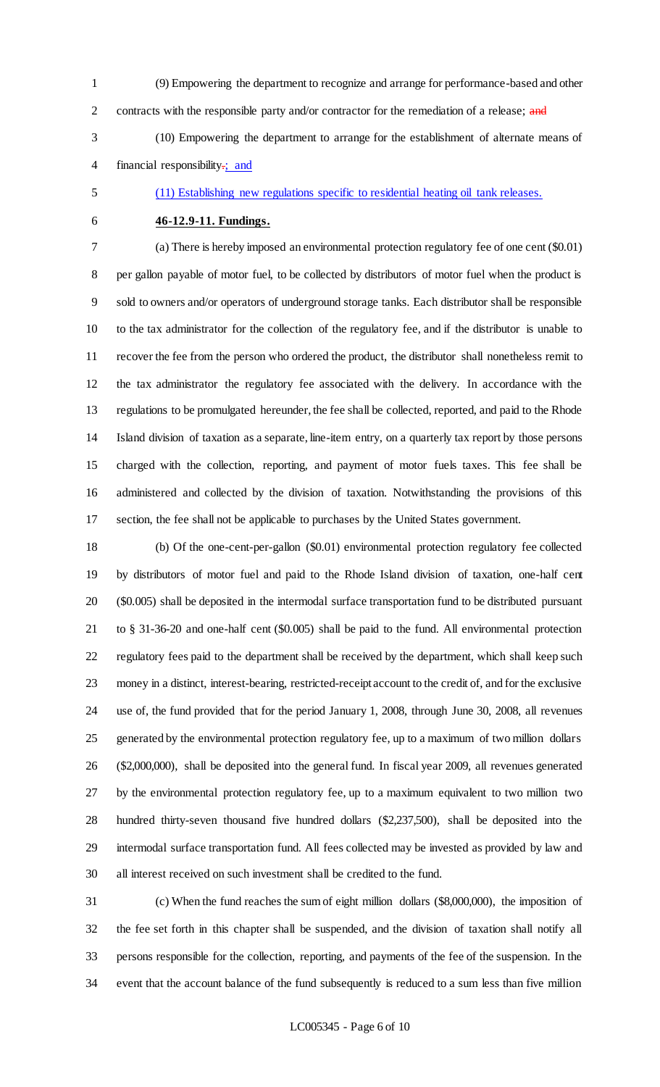(9) Empowering the department to recognize and arrange for performance-based and other 2 contracts with the responsible party and/or contractor for the remediation of a release; and

 (10) Empowering the department to arrange for the establishment of alternate means of 4 financial responsibility:; and

## (11) Establishing new regulations specific to residential heating oil tank releases.

## **46-12.9-11. Fundings.**

 (a) There is hereby imposed an environmental protection regulatory fee of one cent (\$0.01) per gallon payable of motor fuel, to be collected by distributors of motor fuel when the product is sold to owners and/or operators of underground storage tanks. Each distributor shall be responsible to the tax administrator for the collection of the regulatory fee, and if the distributor is unable to recover the fee from the person who ordered the product, the distributor shall nonetheless remit to the tax administrator the regulatory fee associated with the delivery. In accordance with the regulations to be promulgated hereunder, the fee shall be collected, reported, and paid to the Rhode Island division of taxation as a separate, line-item entry, on a quarterly tax report by those persons charged with the collection, reporting, and payment of motor fuels taxes. This fee shall be administered and collected by the division of taxation. Notwithstanding the provisions of this section, the fee shall not be applicable to purchases by the United States government.

 (b) Of the one-cent-per-gallon (\$0.01) environmental protection regulatory fee collected by distributors of motor fuel and paid to the Rhode Island division of taxation, one-half cent (\$0.005) shall be deposited in the intermodal surface transportation fund to be distributed pursuant to § 31-36-20 and one-half cent (\$0.005) shall be paid to the fund. All environmental protection regulatory fees paid to the department shall be received by the department, which shall keep such money in a distinct, interest-bearing, restricted-receipt account to the credit of, and for the exclusive use of, the fund provided that for the period January 1, 2008, through June 30, 2008, all revenues generated by the environmental protection regulatory fee, up to a maximum of two million dollars (\$2,000,000), shall be deposited into the general fund. In fiscal year 2009, all revenues generated by the environmental protection regulatory fee, up to a maximum equivalent to two million two hundred thirty-seven thousand five hundred dollars (\$2,237,500), shall be deposited into the intermodal surface transportation fund. All fees collected may be invested as provided by law and all interest received on such investment shall be credited to the fund.

 (c) When the fund reaches the sum of eight million dollars (\$8,000,000), the imposition of the fee set forth in this chapter shall be suspended, and the division of taxation shall notify all persons responsible for the collection, reporting, and payments of the fee of the suspension. In the event that the account balance of the fund subsequently is reduced to a sum less than five million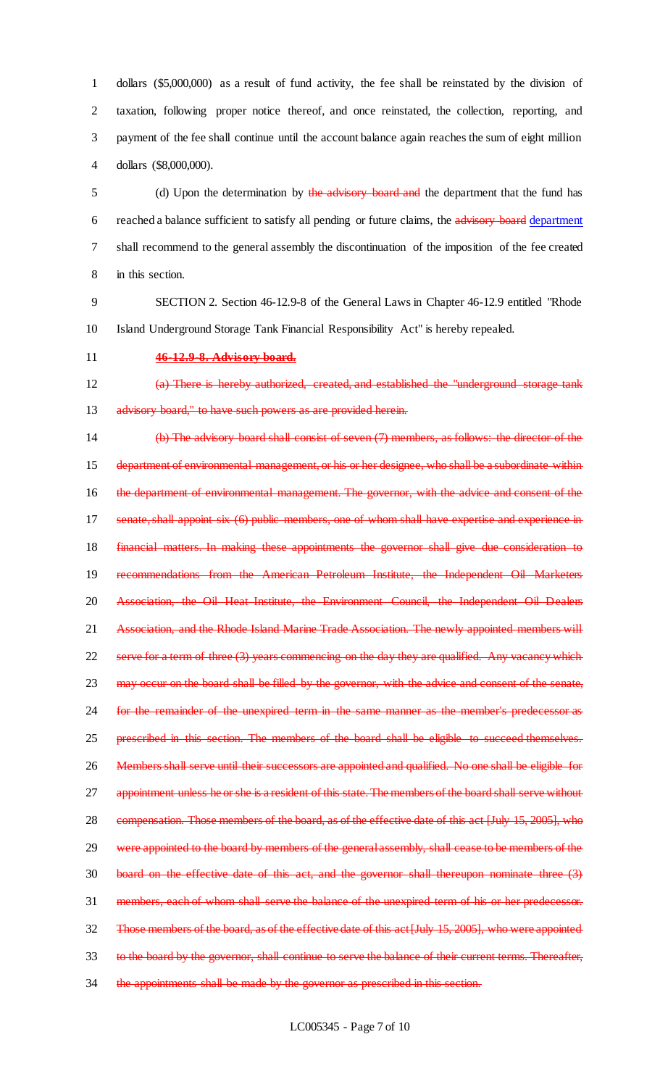dollars (\$5,000,000) as a result of fund activity, the fee shall be reinstated by the division of taxation, following proper notice thereof, and once reinstated, the collection, reporting, and payment of the fee shall continue until the account balance again reaches the sum of eight million dollars (\$8,000,000).

5 (d) Upon the determination by the advisory board and the department that the fund has 6 reached a balance sufficient to satisfy all pending or future claims, the advisory board department 7 shall recommend to the general assembly the discontinuation of the imposition of the fee created 8 in this section.

9 SECTION 2. Section 46-12.9-8 of the General Laws in Chapter 46-12.9 entitled "Rhode 10 Island Underground Storage Tank Financial Responsibility Act" is hereby repealed.

### 11 **46-12.9-8. Advisory board.**

12 (a) There is hereby authorized, created, and established the "underground storage tank 13 advisory board," to have such powers as are provided herein.

14 (b) The advisory board shall consist of seven (7) members, as follows: the director of the 15 department of environmental management, or his or her designee, who shall be a subordinate within 16 the department of environmental management. The governor, with the advice and consent of the 17 senate, shall appoint six (6) public members, one of whom shall have expertise and experience in 18 financial matters. In making these appointments the governor shall give due consideration to 19 recommendations from the American Petroleum Institute, the Independent Oil Marketers 20 Association, the Oil Heat Institute, the Environment Council, the Independent Oil Dealers 21 Association, and the Rhode Island Marine Trade Association. The newly appointed members will 22 serve for a term of three (3) years commencing on the day they are qualified. Any vacancy which 23 may occur on the board shall be filled by the governor, with the advice and consent of the senate, 24 for the remainder of the unexpired term in the same manner as the member's predecessor as 25 prescribed in this section. The members of the board shall be eligible to succeed themselves. 26 Members shall serve until their successors are appointed and qualified. No one shall be eligible for 27 appointment unless he or she is a resident of this state. The members of the board shall serve without 28 compensation. Those members of the board, as of the effective date of this act [July 15, 2005], who 29 were appointed to the board by members of the general assembly, shall cease to be members of the 30 board on the effective date of this act, and the governor shall thereupon nominate three (3) 31 members, each of whom shall serve the balance of the unexpired term of his or her predecessor. 32 Those members of the board, as of the effective date of this act [July 15, 2005], who were appointed 33 to the board by the governor, shall continue to serve the balance of their current terms. Thereafter, 34 the appointments shall be made by the governor as prescribed in this section.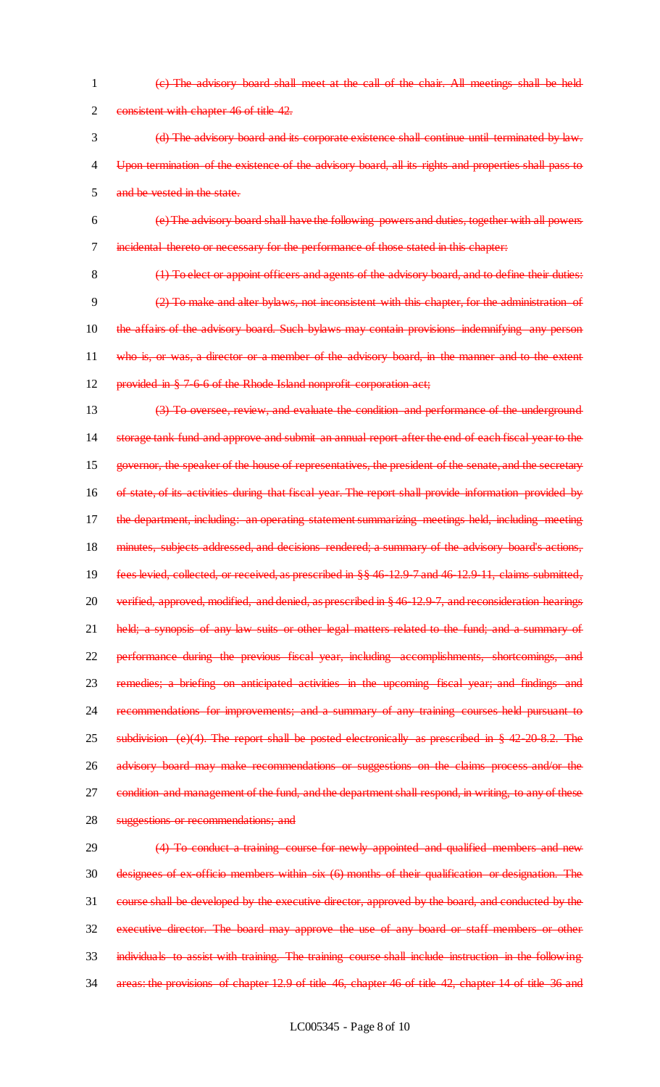(c) The advisory board shall meet at the call of the chair. All meetings shall be held 2 consistent with chapter 46 of title 42.

 (d) The advisory board and its corporate existence shall continue until terminated by law. 4 Upon termination of the existence of the advisory board, all its rights and properties shall pass to and be vested in the state.

- (e) The advisory board shall have the following powers and duties, together with all powers incidental thereto or necessary for the performance of those stated in this chapter:
	-

8 (1) To elect or appoint officers and agents of the advisory board, and to define their duties: (2) To make and alter bylaws, not inconsistent with this chapter, for the administration of the affairs of the advisory board. Such bylaws may contain provisions indemnifying any person who is, or was, a director or a member of the advisory board, in the manner and to the extent 12 provided in § 7-6-6 of the Rhode Island nonprofit corporation act;

 (3) To oversee, review, and evaluate the condition and performance of the underground storage tank fund and approve and submit an annual report after the end of each fiscal year to the governor, the speaker of the house of representatives, the president of the senate, and the secretary 16 of state, of its activities during that fiscal year. The report shall provide information provided by 17 the department, including: an operating statement summarizing meetings held, including meeting 18 minutes, subjects addressed, and decisions rendered; a summary of the advisory board's actions, fees levied, collected, or received, as prescribed in §§ 46-12.9-7 and 46-12.9-11, claims submitted, 20 verified, approved, modified, and denied, as prescribed in § 46-12.9-7, and reconsideration hearings 21 held; a synopsis of any law suits or other legal matters related to the fund; and a summary of performance during the previous fiscal year, including accomplishments, shortcomings, and remedies; a briefing on anticipated activities in the upcoming fiscal year; and findings and recommendations for improvements; and a summary of any training courses held pursuant to 25 subdivision (e)(4). The report shall be posted electronically as prescribed in § 42-20-8.2. The 26 advisory board may make recommendations or suggestions on the claims process and/or the condition and management of the fund, and the department shall respond, in writing, to any of these suggestions or recommendations; and

# 29 (4) To conduct a training course for newly appointed and qualified members and new designees of ex-officio members within six (6) months of their qualification or designation. The course shall be developed by the executive director, approved by the board, and conducted by the executive director. The board may approve the use of any board or staff members or other individuals to assist with training. The training course shall include instruction in the following areas: the provisions of chapter 12.9 of title 46, chapter 46 of title 42, chapter 14 of title 36 and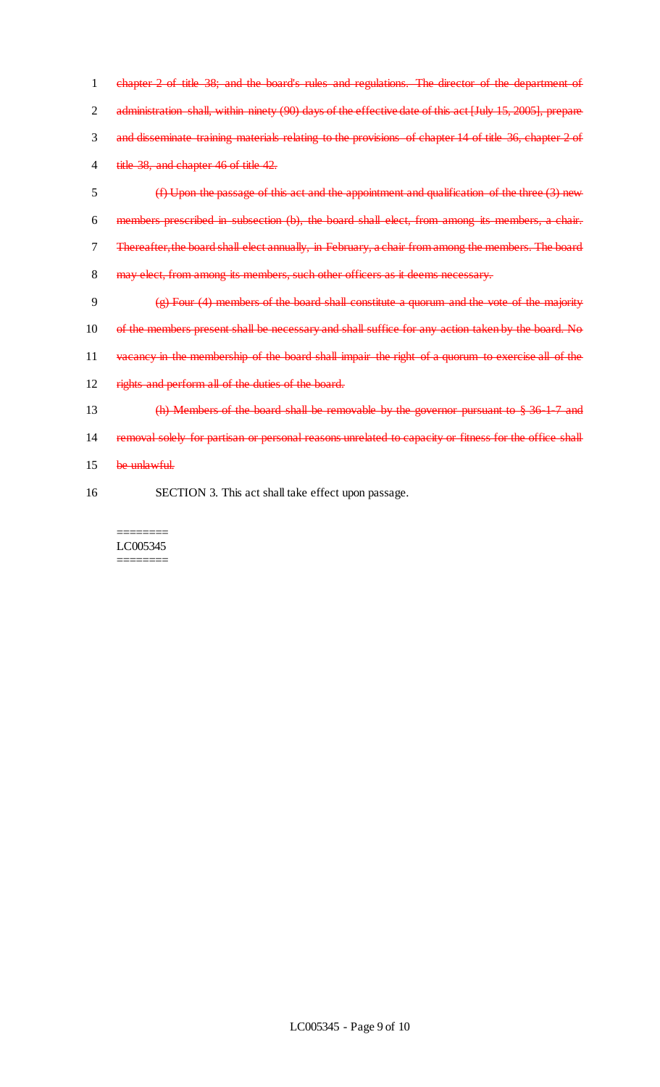1 chapter 2 of title 38; and the board's rules and regulations. The director of the department of 2 administration shall, within ninety (90) days of the effective date of this act [July 15, 2005], prepare 3 and disseminate training materials relating to the provisions of chapter 14 of title 36, chapter 2 of 4 title 38, and chapter 46 of title 42.

 (f) Upon the passage of this act and the appointment and qualification of the three (3) new members prescribed in subsection (b), the board shall elect, from among its members, a chair. Thereafter, the board shall elect annually, in February, a chair from among the members. The board 8 may elect, from among its members, such other officers as it deems necessary.

- 9  $\left(\frac{1}{2}\right)$  Four (4) members of the board shall constitute a quorum and the vote of the majority 10 of the members present shall be necessary and shall suffice for any action taken by the board. No 11 vacancy in the membership of the board shall impair the right of a quorum to exercise all of the 12 rights and perform all of the duties of the board.
- 13 (h) Members of the board shall be removable by the governor pursuant to § 36-1-7 and 14 removal solely for partisan or personal reasons unrelated to capacity or fitness for the office shall
- 15 be unlawful.
- 16 SECTION 3. This act shall take effect upon passage.

======== LC005345 ========